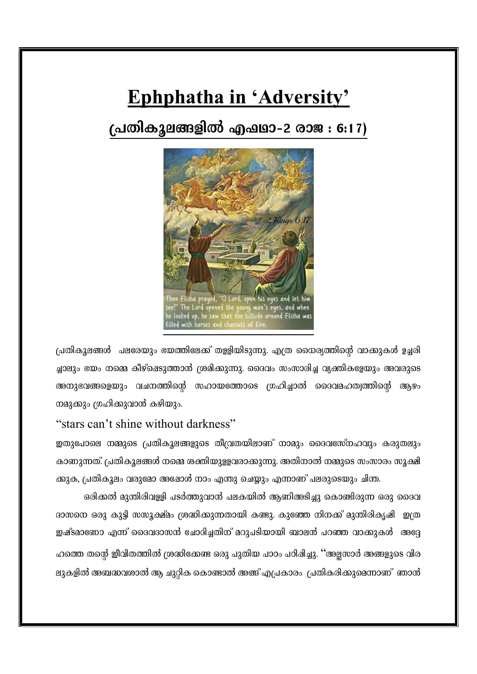# Ephphatha in 'Adversity'

## (പതികൂലങ്ങളിൽ എഷ്ഥാ-2 രാജ : 6:17)



പ്രതികൂലങ്ങൾ ചലരേയും ഭയത്തിലേക്ക് തളളിയിടുന്നു. എത്ര ധൈര്യത്തിന്റെ വാക്കുകൾ ഉച്ചരി ച്ചാലും ഭയം നമ്മെ കീഴ്ഷെടുത്താൻ ശ്രമിക്കുന്നു. ദൈവം സംസാരിച്ച വ്യക്തികളേയും അവരുടെ അനുഭവങ്ങളെയും വചനത്തിന്റെ സഹായത്തോടെ ഗ്രഹിച്ചാൽ ദൈവമഹത്വത്തിന്റെ ആഴം നമുക്കും ഗ്രഹിക്കുവാൻ കഴിയും.

#### "stars can't shine without darkness"

ഇതുപോലെ നമ്മുടെ പ്രതികുലങ്ങളുടെ തീവ്രതയിലാണ് നാമും ദൈവസേ്നഹവും കരുതലും കാണുന്നത്. പ്രതികൂലങ്ങൾ നമ്മെ ശക്തിയുള്ളവരാക്കുന്നു. അതിനാൽ നമ്മുടെ സംസാരം സൂക്ഷി ക്കുക, പ്രതികൂലം വരുമോ അഷോൾ നാം എന്തു ചെയ്യും എന്നാണ് പലരുടെയും ചിന്ത.

ഒരിക്കൽ മുന്തിരിവള്ളി പടർത്തുവാൻ പലകയിൽ ആണിഅടിച്ചു കൊണ്ടിരുന്ന ഒരു ദൈവ ദാസനെ ഒരു കുട്ടി സസൂക്ഷ്മം ശ്രദ്ധിക്കുന്നതായി കണ്ടു. കുഞ്ഞേ നിനക്ക് മുന്തിരികൃഷി ഇത്ര ഇഷ്ടമാണോ എന്ന് ദൈവദാസൻ ചോദിച്ചതിന് മറുപടിയായി ബാലൻ പറഞ്ഞ വാക്കുകൾ അദ്ദേ ഹത്തെ തന്റെ ഇീവിതത്തിൽ ശ്രദ്ധിക്കേണ്ട ഒരു പുതിയ പാഠം പഠിഷിച്ചു. ''അല്ലസാർ അങ്ങളുടെ വിര ലുകളിൽ അബദ്ധവശാൽ ആ ചുറ്റിക കൊണ്ടാൽ അങ്ങ് എപ്രകാരം പ്രതികരിക്കുമെന്നാണ് ഞാൻ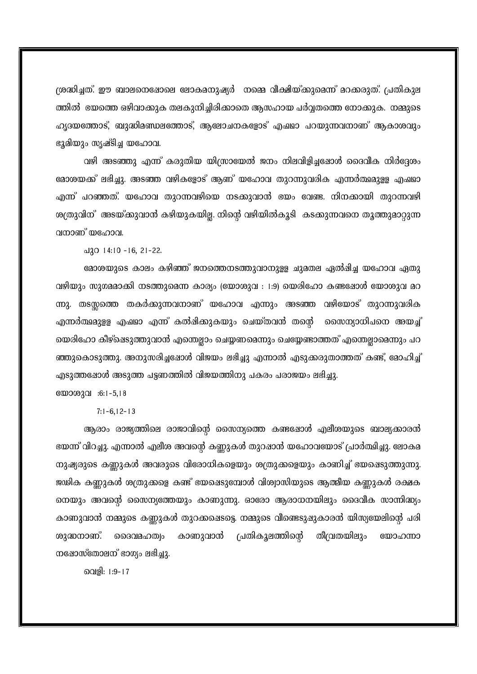ശ്രദ്ധിച്ചത്. ഈ ബാലനെഷോലെ ലോകമനുഷ്യർ നമ്മെ വീക്ഷിയ്ക്കുമെന്ന് മറക്കരുത്. പ്രതികുല ത്തിൽ യേത്തെ ഒഴിവാക്കുക തലകുനിച്ചിരിക്കാതെ ആസഹായ പർവ്വതത്തെ നോക്കുക. നമ്മുടെ ഹൃദയത്തോട്, ബുദ്ധിമണ്ഡലത്തോട്, ആലോചനകളോട് എഷ്ഥാ പറയുന്നവനാണ് ആകാശവും ഭൂമിയും സൃഷ്ടിച്ച യഹോവ.

വഴി അടഞ്ഞു എന്ന് കരുതിയ യിന്ത്രായേൽ ജനം നിലവിളിച്ചപ്പോൾ ദൈവീക നിർദ്ദേശം മോശയക്ക് ലഭിച്ചു. അടഞ്ഞ വഴികളോട് ആണ് യഹോവ തുറന്നുവരിക എന്നർത്ഥമുള്ള എഷഥാ എന്ന് പറഞ്ഞത്. യഹോവ തുറന്നവഴിയെ നടക്കുവാൻ യേം വേണ്ട. നിനക്കായി തുറന്നവഴി ശത്രുവിന് അടയ്ക്കുവാൻ കഴിയുകയില്ല. നിന്റെ വഴിയിൽകൂടി കടക്കുന്നവനെ തൃത്തുമാറ്റുന്ന വനാണ് യഹോവ.

 $\triangle$ 120 14:10 -16, 21-22.

മോശയുടെ കാലം കഴിഞ്ഞ് ജനത്തെനടത്തുവാനുളള ചുമതല ഏൽഷിച്ച യഹോവ ഏതു വഴിയും സുഗമമാക്കി നടത്തുമെന്ന കാര്യം (യോശുവ : 1:9) യെരിഹോ കണ്ടപ്പോൾ യോശുവ മറ ന്നു. തടയ്ക്കത്തെ തകർക്കുന്നവനാണ് യഹോവ എന്നും അടഞ്ഞ വഴിയോട് തുറന്നുവരിക എന്നർത്ഥമുളള എഷഥാ എന്ന് കൽഷിക്കുകയും ചെയ്തവൻ തന്റെ സൈന്യാധിപനെ അയച്ച് യെരിഹോ കീഴ്ഷെടുത്തുവാൻ എന്തെല്ലാം ചെയ്യണമെന്നും ചെയ്യേണ്ടാത്തത് എന്തെല്ലാമെന്നും പറ ഞ്ഞുകൊടുത്തു. അനുസരിച്ചഷോൾ വിജയം ലഭിച്ചു എന്നാൽ എടുക്കരുതാത്തത് കണ്ട്, മോഹിച്ച് എടുത്തഷോൾ അടുത്ത പട്ടണത്തിൽ വിജയത്തിനു പകരം പരാജയം ലഭിച്ചു.

യോശുവ :6:1-5,18

 $7:1 - 6, 12 - 13$ 

ആരാം രാജ്യത്തിലെ രാജാവിന്റെ സൈന്യത്തെ കണ്ടപ്പോൾ എലീശയുടെ ബാല്യക്കാരൻ ഭയന്ന് വിറച്ചു. എന്നാൽ എലീശ അവന്റെ കണ്ണുകൾ തുറഷാൻ യഹോവയോട് പ്രാർത്ഥിച്ചു. ലോകമ നുഷ്യരുടെ കണ്ണുകൾ അവരുടെ വിരോധികളെയും ശത്രുക്കളെയും കാണിച്ച് ഭയഷെടുത്തുന്നു. ജഢിക കണ്ണുകൾ ശത്രുക്കളെ കണ്ട് ഭയപ്പെടുമ്പോൾ വിശ്വാസിയുടെ ആത്മീയ കണ്ണുകൾ രക്ഷക നെയും അവന്റെ സൈന്യത്തേയും കാണുന്നു. ഓരോ ആരാധനയിലും ദൈവീക സാന്നിദ്ധ്യം കാണുവാൻ നമ്മുടെ കണ്ണുകൾ തുറക്കഷെടട്ടെ. നമ്മുടെ വീണ്ടെടുഷുകാരൻ യിസ്യയേലിന്റെ പരി കാണുവാൻ പ്രതികൂലത്തിന്റെ തീമ്പ്രതയിലും ശുദ്ധനാണ്. മെദവമഹത്വം യോഹന്നാ നഷോസ്തോലന് ഭാഗ്യം ലഭിച്ചു.

വെളി: 1:9-17